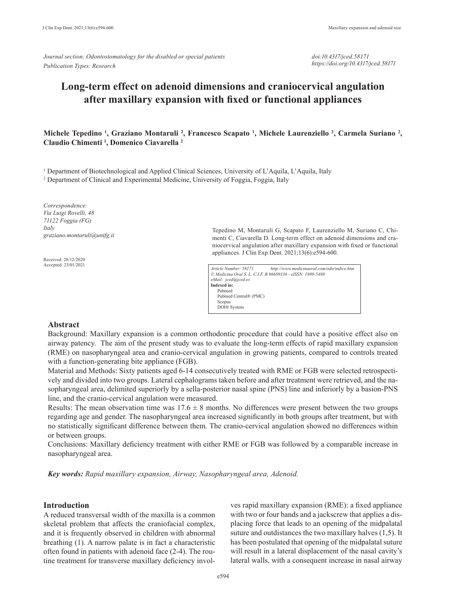*Journal section: Odontostomatology for the disabled or special patients Publication Types: Research*

*doi:10.4317/jced.58171 https://doi.org/10.4317/jced.58171*

# **Long-term effect on adenoid dimensions and craniocervical angulation after maxillary expansion with fixed or functional appliances**

# **Michele Tepedino 1 , Graziano Montaruli 2 , Francesco Scapato 1 , Michele Laurenziello 2 , Carmela Suriano 2 , Claudio Chimenti 1 , Domenico Ciavarella 2**

<sup>1</sup> Department of Biotechnological and Applied Clinical Sciences, University of L'Aquila, L'Aquila, Italy

<sup>2</sup> Department of Clinical and Experimental Medicine, University of Foggia, Foggia, Italy

*Correspondence: Via Luigi Rovelli, 48 71122 Foggia (FG) Italy graziano.montaruli@unifg.it*

Received: 28/12/2020 Accepted: 23/01/2021 Tepedino M, Montaruli G, Scapato F, Laurenziello M, Suriano C, Chimenti C, Ciavarella D. Long-term effect on adenoid dimensions and craniocervical angulation after maxillary expansion with fixed or functional appliances. J Clin Exp Dent. 2021;13(6):e594-600.

| Article Number: 58171                                      | http://www.medicinaoral.com/odo/indice.htm |
|------------------------------------------------------------|--------------------------------------------|
| © Medicina Oral S. L. C.I.F. B 96689336 - eISSN: 1989-5488 |                                            |
| eMail: jced@jced.es                                        |                                            |
| Indexed in:                                                |                                            |
| Pubmed                                                     |                                            |
| Pubmed Central® (PMC)                                      |                                            |
| Scopus                                                     |                                            |
| DOI® System                                                |                                            |

## **Abstract**

Background: Maxillary expansion is a common orthodontic procedure that could have a positive effect also on airway patency. The aim of the present study was to evaluate the long-term effects of rapid maxillary expansion (RME) on nasopharyngeal area and cranio-cervical angulation in growing patients, compared to controls treated with a function-generating bite appliance (FGB).

Material and Methods: Sixty patients aged 6-14 consecutively treated with RME or FGB were selected retrospectively and divided into two groups. Lateral cephalograms taken before and after treatment were retrieved, and the nasopharyngeal area, delimited superiorly by a sella-posterior nasal spine (PNS) line and inferiorly by a basion-PNS line, and the cranio-cervical angulation were measured.

Results: The mean observation time was  $17.6 \pm 8$  months. No differences were present between the two groups regarding age and gender. The nasopharyngeal area increased significantly in both groups after treatment, but with no statistically significant difference between them. The cranio-cervical angulation showed no differences within or between groups.

Conclusions: Maxillary deficiency treatment with either RME or FGB was followed by a comparable increase in nasopharyngeal area.

*Key words: Rapid maxillary expansion, Airway, Nasopharyngeal area, Adenoid.*

# **Introduction**

A reduced transversal width of the maxilla is a common skeletal problem that affects the craniofacial complex, and it is frequently observed in children with abnormal breathing (1). A narrow palate is in fact a characteristic often found in patients with adenoid face (2-4). The routine treatment for transverse maxillary deficiency invol-

ves rapid maxillary expansion (RME): a fixed appliance with two or four bands and a jackscrew that applies a displacing force that leads to an opening of the midpalatal suture and outdistances the two maxillary halves (1,5). It has been postulated that opening of the midpalatal suture will result in a lateral displacement of the nasal cavity's lateral walls, with a consequent increase in nasal airway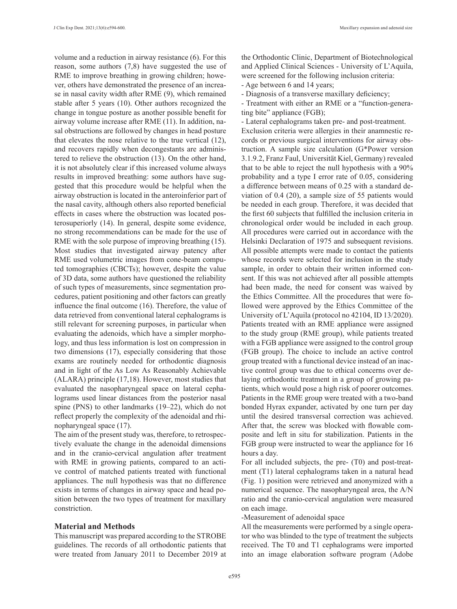volume and a reduction in airway resistance (6). For this reason, some authors (7,8) have suggested the use of RME to improve breathing in growing children; however, others have demonstrated the presence of an increase in nasal cavity width after RME (9), which remained stable after 5 years (10). Other authors recognized the change in tongue posture as another possible benefit for airway volume increase after RME (11). In addition, nasal obstructions are followed by changes in head posture that elevates the nose relative to the true vertical (12), and recovers rapidly when decongestants are administered to relieve the obstruction (13). On the other hand, it is not absolutely clear if this increased volume always results in improved breathing: some authors have suggested that this procedure would be helpful when the airway obstruction is located in the anteroinferior part of the nasal cavity, although others also reported beneficial effects in cases where the obstruction was located posterosuperiorly (14). In general, despite some evidence, no strong recommendations can be made for the use of RME with the sole purpose of improving breathing (15). Most studies that investigated airway patency after RME used volumetric images from cone-beam computed tomographies (CBCTs); however, despite the value of 3D data, some authors have questioned the reliability of such types of measurements, since segmentation procedures, patient positioning and other factors can greatly influence the final outcome (16). Therefore, the value of data retrieved from conventional lateral cephalograms is still relevant for screening purposes, in particular when evaluating the adenoids, which have a simpler morphology, and thus less information is lost on compression in two dimensions (17), especially considering that those exams are routinely needed for orthodontic diagnosis and in light of the As Low As Reasonably Achievable (ALARA) principle (17,18). However, most studies that evaluated the nasopharyngeal space on lateral cephalograms used linear distances from the posterior nasal spine (PNS) to other landmarks (19–22), which do not reflect properly the complexity of the adenoidal and rhinopharyngeal space (17).

The aim of the present study was, therefore, to retrospectively evaluate the change in the adenoidal dimensions and in the cranio-cervical angulation after treatment with RME in growing patients, compared to an active control of matched patients treated with functional appliances. The null hypothesis was that no difference exists in terms of changes in airway space and head position between the two types of treatment for maxillary constriction.

#### **Material and Methods**

This manuscript was prepared according to the STROBE guidelines. The records of all orthodontic patients that were treated from January 2011 to December 2019 at

the Orthodontic Clinic, Department of Biotechnological and Applied Clinical Sciences - University of L'Aquila, were screened for the following inclusion criteria:

- Age between 6 and 14 years;

- Diagnosis of a transverse maxillary deficiency;

- Treatment with either an RME or a "function-generating bite" appliance (FGB);

- Lateral cephalograms taken pre- and post-treatment. Exclusion criteria were allergies in their anamnestic records or previous surgical interventions for airway obstruction. A sample size calculation (G\*Power version 3.1.9.2, Franz Faul, Universität Kiel, Germany) revealed that to be able to reject the null hypothesis with a 90% probability and a type I error rate of 0.05, considering a difference between means of 0.25 with a standard deviation of 0.4 (20), a sample size of 55 patients would be needed in each group. Therefore, it was decided that the first 60 subjects that fulfilled the inclusion criteria in chronological order would be included in each group. All procedures were carried out in accordance with the Helsinki Declaration of 1975 and subsequent revisions. All possible attempts were made to contact the patients whose records were selected for inclusion in the study sample, in order to obtain their written informed consent. If this was not achieved after all possible attempts had been made, the need for consent was waived by the Ethics Committee. All the procedures that were followed were approved by the Ethics Committee of the University of L'Aquila (protocol no 42104, ID 13/2020). Patients treated with an RME appliance were assigned to the study group (RME group), while patients treated with a FGB appliance were assigned to the control group (FGB group). The choice to include an active control group treated with a functional device instead of an inactive control group was due to ethical concerns over delaying orthodontic treatment in a group of growing patients, which would pose a high risk of poorer outcomes. Patients in the RME group were treated with a two-band bonded Hyrax expander, activated by one turn per day until the desired transversal correction was achieved. After that, the screw was blocked with flowable composite and left in situ for stabilization. Patients in the FGB group were instructed to wear the appliance for 16 hours a day.

For all included subjects, the pre- (T0) and post-treatment (T1) lateral cephalograms taken in a natural head (Fig. 1) position were retrieved and anonymized with a numerical sequence. The nasopharyngeal area, the A/N ratio and the cranio-cervical angulation were measured on each image.

-Measurement of adenoidal space

All the measurements were performed by a single operator who was blinded to the type of treatment the subjects received. The T0 and T1 cephalograms were imported into an image elaboration software program (Adobe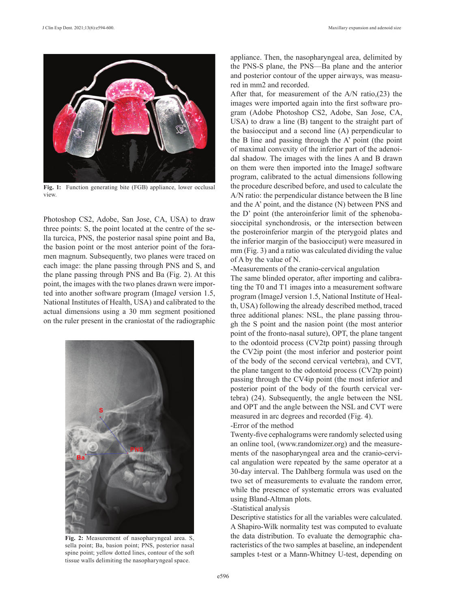

**Fig. 1:** Function generating bite (FGB) appliance, lower occlusal view.

Photoshop CS2, Adobe, San Jose, CA, USA) to draw three points: S, the point located at the centre of the sella turcica, PNS, the posterior nasal spine point and Ba, the basion point or the most anterior point of the foramen magnum. Subsequently, two planes were traced on each image: the plane passing through PNS and S, and the plane passing through PNS and Ba (Fig. 2). At this point, the images with the two planes drawn were imported into another software program (ImageJ version 1.5, National Institutes of Health, USA) and calibrated to the actual dimensions using a 30 mm segment positioned on the ruler present in the craniostat of the radiographic



**Fig. 2:** Measurement of nasopharyngeal area. S, sella point; Ba, basion point; PNS, posterior nasal spine point; yellow dotted lines, contour of the soft tissue walls delimiting the nasopharyngeal space.

appliance. Then, the nasopharyngeal area, delimited by the PNS-S plane, the PNS—Ba plane and the anterior and posterior contour of the upper airways, was measured in mm2 and recorded.

After that, for measurement of the A/N ratio,(23) the images were imported again into the first software program (Adobe Photoshop CS2, Adobe, San Jose, CA, USA) to draw a line (B) tangent to the straight part of the basiocciput and a second line (A) perpendicular to the B line and passing through the A' point (the point of maximal convexity of the inferior part of the adenoidal shadow. The images with the lines A and B drawn on them were then imported into the ImageJ software program, calibrated to the actual dimensions following the procedure described before, and used to calculate the A/N ratio: the perpendicular distance between the B line and the A' point, and the distance (N) between PNS and the D' point (the anteroinferior limit of the sphenobasioccipital synchondrosis, or the intersection between the posteroinferior margin of the pterygoid plates and the inferior margin of the basiocciput) were measured in mm (Fig. 3) and a ratio was calculated dividing the value of A by the value of N.

#### -Measurements of the cranio-cervical angulation

The same blinded operator, after importing and calibrating the T0 and T1 images into a measurement software program (ImageJ version 1.5, National Institute of Health, USA) following the already described method, traced three additional planes: NSL, the plane passing through the S point and the nasion point (the most anterior point of the fronto-nasal suture), OPT, the plane tangent to the odontoid process (CV2tp point) passing through the CV2ip point (the most inferior and posterior point of the body of the second cervical vertebra), and CVT, the plane tangent to the odontoid process (CV2tp point) passing through the CV4ip point (the most inferior and posterior point of the body of the fourth cervical vertebra) (24). Subsequently, the angle between the NSL and OPT and the angle between the NSL and CVT were measured in arc degrees and recorded (Fig. 4).

#### -Error of the method

Twenty-five cephalograms were randomly selected using an online tool, (www.randomizer.org) and the measurements of the nasopharyngeal area and the cranio-cervical angulation were repeated by the same operator at a 30-day interval. The Dahlberg formula was used on the two set of measurements to evaluate the random error, while the presence of systematic errors was evaluated using Bland-Altman plots.

## -Statistical analysis

Descriptive statistics for all the variables were calculated. A Shapiro-Wilk normality test was computed to evaluate the data distribution. To evaluate the demographic characteristics of the two samples at baseline, an independent samples t-test or a Mann-Whitney U-test, depending on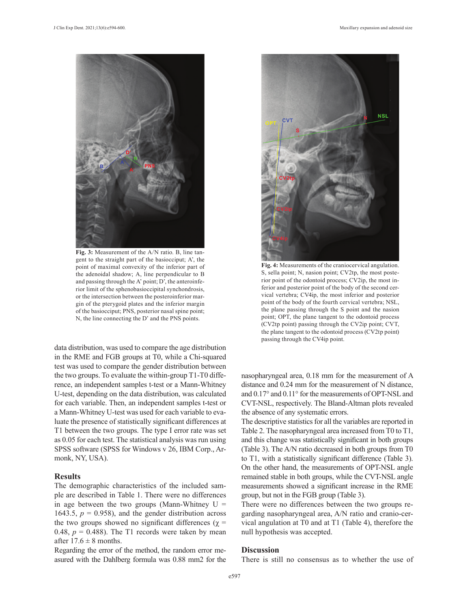

**Fig. 3:** Measurement of the A/N ratio. B, line tangent to the straight part of the basiocciput; A', the point of maximal convexity of the inferior part of the adenoidal shadow; A, line perpendicular to B and passing through the A' point; D', the anteroinferior limit of the sphenobasioccipital synchondrosis, or the intersection between the posteroinferior margin of the pterygoid plates and the inferior margin of the basiocciput; PNS, posterior nasal spine point; N, the line connecting the D' and the PNS points.

data distribution, was used to compare the age distribution in the RME and FGB groups at T0, while a Chi-squared test was used to compare the gender distribution between the two groups. To evaluate the within-group T1-T0 difference, an independent samples t-test or a Mann-Whitney U-test, depending on the data distribution, was calculated for each variable. Then, an independent samples t-test or a Mann-Whitney U-test was used for each variable to evaluate the presence of statistically significant differences at T1 between the two groups. The type I error rate was set as 0.05 for each test. The statistical analysis was run using SPSS software (SPSS for Windows v 26, IBM Corp., Armonk, NY, USA).

#### **Results**

The demographic characteristics of the included sample are described in Table 1. There were no differences in age between the two groups (Mann-Whitney  $U =$ 1643.5,  $p = 0.958$ ), and the gender distribution across the two groups showed no significant differences ( $\chi$  = 0.48,  $p = 0.488$ ). The T1 records were taken by mean after  $17.6 \pm 8$  months.

Regarding the error of the method, the random error measured with the Dahlberg formula was 0.88 mm2 for the



**Fig. 4:** Measurements of the craniocervical angulation. S, sella point; N, nasion point; CV2tp, the most posterior point of the odontoid process; CV2ip, the most inferior and posterior point of the body of the second cervical vertebra; CV4ip, the most inferior and posterior point of the body of the fourth cervical vertebra; NSL, the plane passing through the S point and the nasion point; OPT, the plane tangent to the odontoid process (CV2tp point) passing through the CV2ip point; CVT, the plane tangent to the odontoid process (CV2tp point) passing through the CV4ip point.

nasopharyngeal area, 0.18 mm for the measurement of A distance and 0.24 mm for the measurement of N distance, and 0.17° and 0.11° for the measurements of OPT-NSL and CVT-NSL, respectively. The Bland-Altman plots revealed the absence of any systematic errors.

The descriptive statistics for all the variables are reported in Table 2. The nasopharyngeal area increased from T0 to T1, and this change was statistically significant in both groups (Table 3). The A/N ratio decreased in both groups from T0 to T1, with a statistically significant difference (Table 3). On the other hand, the measurements of OPT-NSL angle remained stable in both groups, while the CVT-NSL angle measurements showed a significant increase in the RME group, but not in the FGB group (Table 3).

There were no differences between the two groups regarding nasopharyngeal area, A/N ratio and cranio-cervical angulation at T0 and at T1 (Table 4), therefore the null hypothesis was accepted.

## **Discussion**

There is still no consensus as to whether the use of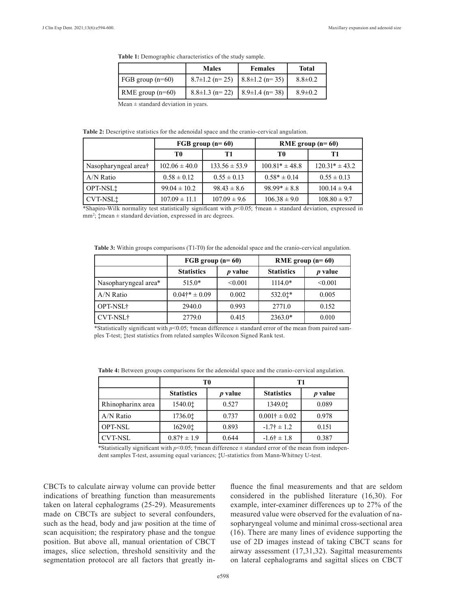**Table 1:** Demographic characteristics of the study sample.

|                          | <b>Males</b>          | <b>Females</b>                       | Total         |
|--------------------------|-----------------------|--------------------------------------|---------------|
| FGB group $(n=60)$       | $8.7\pm1.2$ (n= 25)   | $\vert 8.8 \pm 1.2 \ (n=35) \ \vert$ | $8.8 \pm 0.2$ |
| $\vert$ RME group (n=60) | $8.8 \pm 1.3$ (n= 22) | $\frac{1}{2}$ 8.9±1.4 (n=38)         | $8.9 \pm 0.2$ |

Mean  $\pm$  standard deviation in years.

**Table 2:** Descriptive statistics for the adenoidal space and the cranio-cervical angulation.

|                      | FGB group $(n=60)$ |                   | RME group $(n=60)$ |                    |
|----------------------|--------------------|-------------------|--------------------|--------------------|
|                      | T0                 | T1                | T0                 | T1                 |
| Nasopharyngeal area† | $102.06 \pm 40.0$  | $133.56 \pm 53.9$ | $100.81* \pm 48.8$ | $120.31* \pm 43.2$ |
| $A/N$ Ratio          | $0.58 \pm 0.12$    | $0.55 \pm 0.13$   | $0.58* \pm 0.14$   | $0.55 \pm 0.13$    |
| OPT-NSL <sup>+</sup> | $99.04 \pm 10.2$   | $98.43 \pm 8.6$   | $98.99* \pm 8.8$   | $100.14 \pm 9.4$   |
| CVT-NSL‡             | $107.09 \pm 11.1$  | $107.09 \pm 9.6$  | $106.38 \pm 9.0$   | $108.80 \pm 9.7$   |

\*Shapiro-Wilk normality test statistically significant with *p*<0.05; †mean ± standard deviation, expressed in mm<sup>2</sup>; \*mean ± standard deviation, expressed in arc degrees.

**Table 3:** Within groups comparisons (T1-T0) for the adenoidal space and the cranio-cervical angulation.

|                      | FGB group $(n=60)$ |                | RME group $(n=60)$ |                |
|----------------------|--------------------|----------------|--------------------|----------------|
|                      | <b>Statistics</b>  | <i>p</i> value | <b>Statistics</b>  | <i>p</i> value |
| Nasopharyngeal area* | $515.0*$           | < 0.001        | $1114.0*$          | < 0.001        |
| $A/N$ Ratio          | $0.04$ †* ± 0.09   | 0.002          | 532.0‡*            | 0.005          |
| OPT-NSL†             | 2940.0             | 0.993          | 2771.0             | 0.152          |
| <b>CVT-NSL†</b>      | 2779.0             | 0.415          | $2363.0*$          | 0.010          |

\*Statistically significant with  $p$ <0.05; †mean difference  $\pm$  standard error of the mean from paired samples T-test; ‡test statistics from related samples Wilcoxon Signed Rank test.

|                   | T0                    |                | T1                      |                |
|-------------------|-----------------------|----------------|-------------------------|----------------|
|                   | <b>Statistics</b>     | <i>p</i> value | <b>Statistics</b>       | <i>p</i> value |
| Rhinopharinx area | 1540.01               | 0.527          | 1349.0 <sup>t</sup>     | 0.089          |
| $A/N$ Ratio       | 1736.01               | 0.737          | $0.001\dagger \pm 0.02$ | 0.978          |
| <b>OPT-NSL</b>    | 1629.01               | 0.893          | $-1.7\dagger \pm 1.2$   | 0.151          |
| CVT-NSL           | $0.87\dagger \pm 1.9$ | 0.644          | $-1.6\dagger \pm 1.8$   | 0.387          |

**Table 4:** Between groups comparisons for the adenoidal space and the cranio-cervical angulation.

\*Statistically significant with  $p$ <0.05; †mean difference  $\pm$  standard error of the mean from independent samples T-test, assuming equal variances; ‡U-statistics from Mann-Whitney U-test.

CBCTs to calculate airway volume can provide better indications of breathing function than measurements taken on lateral cephalograms (25-29). Measurements made on CBCTs are subject to several confounders, such as the head, body and jaw position at the time of scan acquisition; the respiratory phase and the tongue position. But above all, manual orientation of CBCT images, slice selection, threshold sensitivity and the segmentation protocol are all factors that greatly influence the final measurements and that are seldom considered in the published literature (16,30). For example, inter-examiner differences up to 27% of the measured value were observed for the evaluation of nasopharyngeal volume and minimal cross-sectional area (16). There are many lines of evidence supporting the use of 2D images instead of taking CBCT scans for airway assessment (17,31,32). Sagittal measurements on lateral cephalograms and sagittal slices on CBCT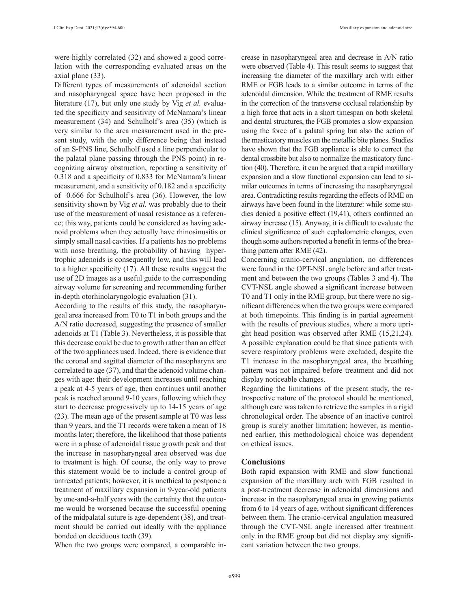were highly correlated (32) and showed a good correlation with the corresponding evaluated areas on the axial plane (33).

Different types of measurements of adenoidal section and nasopharyngeal space have been proposed in the literature (17), but only one study by Vig *et al.* evaluated the specificity and sensitivity of McNamara's linear measurement (34) and Schulholf's area (35) (which is very similar to the area measurement used in the present study, with the only difference being that instead of an S-PNS line, Schulholf used a line perpendicular to the palatal plane passing through the PNS point) in recognizing airway obstruction, reporting a sensitivity of 0.318 and a specificity of 0.833 for McNamara's linear measurement, and a sensitivity of 0.182 and a specificity of 0.666 for Schulholf's area (36). However, the low sensitivity shown by Vig *et al.* was probably due to their use of the measurement of nasal resistance as a reference; this way, patients could be considered as having adenoid problems when they actually have rhinosinusitis or simply small nasal cavities. If a patients has no problems with nose breathing, the probability of having hypertrophic adenoids is consequently low, and this will lead to a higher specificity (17). All these results suggest the use of 2D images as a useful guide to the corresponding airway volume for screening and recommending further in-depth otorhinolaryngologic evaluation (31).

According to the results of this study, the nasopharyngeal area increased from T0 to T1 in both groups and the A/N ratio decreased, suggesting the presence of smaller adenoids at T1 (Table 3). Nevertheless, it is possible that this decrease could be due to growth rather than an effect of the two appliances used. Indeed, there is evidence that the coronal and sagittal diameter of the nasopharynx are correlated to age (37), and that the adenoid volume changes with age: their development increases until reaching a peak at 4-5 years of age, then continues until another peak is reached around 9-10 years, following which they start to decrease progressively up to 14-15 years of age (23). The mean age of the present sample at T0 was less than 9 years, and the T1 records were taken a mean of 18 months later; therefore, the likelihood that those patients were in a phase of adenoidal tissue growth peak and that the increase in nasopharyngeal area observed was due to treatment is high. Of course, the only way to prove this statement would be to include a control group of untreated patients; however, it is unethical to postpone a treatment of maxillary expansion in 9-year-old patients by one-and-a-half years with the certainty that the outcome would be worsened because the successful opening of the midpalatal suture is age-dependent (38), and treatment should be carried out ideally with the appliance bonded on deciduous teeth (39).

When the two groups were compared, a comparable in-

crease in nasopharyngeal area and decrease in A/N ratio were observed (Table 4). This result seems to suggest that increasing the diameter of the maxillary arch with either RME or FGB leads to a similar outcome in terms of the adenoidal dimension. While the treatment of RME results in the correction of the transverse occlusal relationship by a high force that acts in a short timespan on both skeletal and dental structures, the FGB promotes a slow expansion using the force of a palatal spring but also the action of the masticatory muscles on the metallic bite planes. Studies have shown that the FGB appliance is able to correct the dental crossbite but also to normalize the masticatory function (40). Therefore, it can be argued that a rapid maxillary expansion and a slow functional expansion can lead to similar outcomes in terms of increasing the nasopharyngeal area. Contradicting results regarding the effects of RME on airways have been found in the literature: while some studies denied a positive effect (19,41), others confirmed an airway increase (15). Anyway, it is difficult to evaluate the clinical significance of such cephalometric changes, even though some authors reported a benefit in terms of the breathing pattern after RME (42).

Concerning cranio-cervical angulation, no differences were found in the OPT-NSL angle before and after treatment and between the two groups (Tables 3 and 4). The CVT-NSL angle showed a significant increase between T0 and T1 only in the RME group, but there were no significant differences when the two groups were compared at both timepoints. This finding is in partial agreement with the results of previous studies, where a more upright head position was observed after RME (15,21,24). A possible explanation could be that since patients with severe respiratory problems were excluded, despite the T1 increase in the nasopharyngeal area, the breathing pattern was not impaired before treatment and did not display noticeable changes.

Regarding the limitations of the present study, the retrospective nature of the protocol should be mentioned, although care was taken to retrieve the samples in a rigid chronological order. The absence of an inactive control group is surely another limitation; however, as mentioned earlier, this methodological choice was dependent on ethical issues.

#### **Conclusions**

Both rapid expansion with RME and slow functional expansion of the maxillary arch with FGB resulted in a post-treatment decrease in adenoidal dimensions and increase in the nasopharyngeal area in growing patients from 6 to 14 years of age, without significant differences between them. The cranio-cervical angulation measured through the CVT-NSL angle increased after treatment only in the RME group but did not display any significant variation between the two groups.